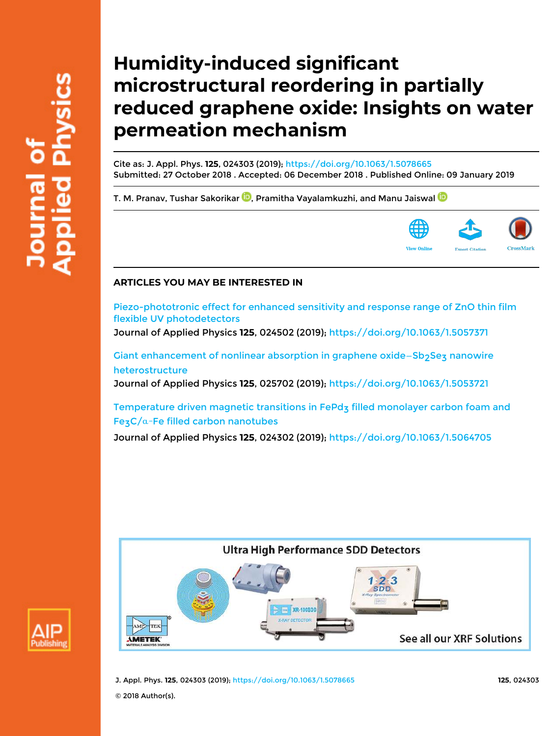# **Humidity-induced significant microstructural reordering in partially reduced graphene oxide: Insights on water permeation mechanism**

Cite as: J. Appl. Phys. **125**, 024303 (2019); https://doi.org/10.1063/1.5078665 Submitted: 27 October 2018 . Accepted: 06 December 2018 . Published Online: 09 January 2019

T. M. Pranav, Tushar Sakorikar  $\mathbf{D}$ , Pramitha Vayalamkuzhi, and Manu Jaiswal  $\mathbf{D}$ 



# **ARTICLES YOU MAY BE INTERESTED IN**

Piezo-phototronic effect for enhanced sensitivity and response range of ZnO thin film flexible UV photodetectors

Journal of Applied Physics **125**, 024502 (2019); https://doi.org/10.1063/1.5057371

Giant enhancement of nonlinear absorption in graphene oxide–Sb<sub>2</sub>Sez nanowire heterostructure

Journal of Applied Physics **125**, 025702 (2019); https://doi.org/10.1063/1.5053721

Temperature driven magnetic transitions in FePdz filled monolayer carbon foam and Fe<sub>3</sub>C/ $α$ -Fe filled carbon nanotubes

Journal of Applied Physics **125**, 024302 (2019); https://doi.org/10.1063/1.5064705





J. Appl. Phys. **125**, 024303 (2019); https://doi.org/10.1063/1.5078665 **125**, 024303

© 2018 Author(s).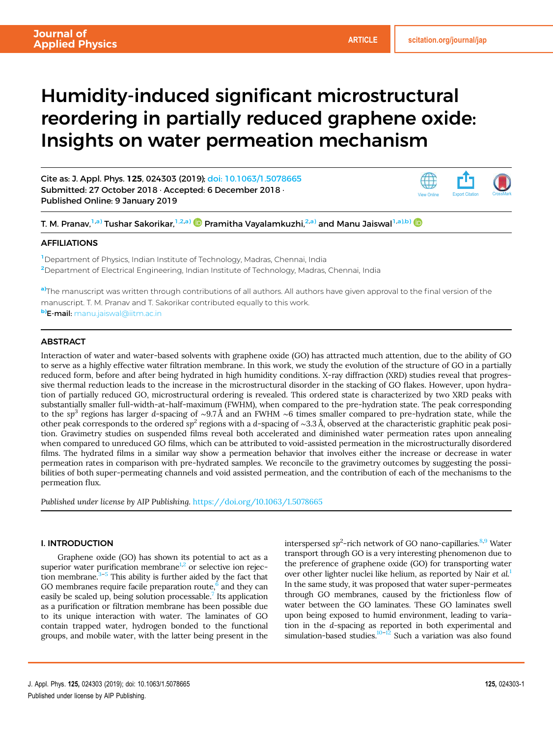# Humidity-induced significant microstructural reordering in partially reduced graphene oxide: Insights on water permeation mechanism

Cite as: J. Appl. Phys. 125, 024303 (2019); doi: 10.1063/1.5078665 Submitted: 27 October 2018 · Accepted: 6 December 2018 · Published Online: 9 January 2019



T. M. Pranav,<sup>1,a)</sup> Tushar Sakorikar,<sup>1,2,a)</sup> **D** Pramitha Vayalamkuzhi,<sup>2,a)</sup> and Manu Jaiswal<sup>1,a),b) **D**</sup>

## **AFFILIATIONS**

<sup>1</sup> Department of Physics, Indian Institute of Technology, Madras, Chennai, India <sup>2</sup>Department of Electrical Engineering, Indian Institute of Technology, Madras, Chennai, India

a)The manuscript was written through contributions of all authors. All authors have given approval to the final version of the manuscript. T. M. Pranav and T. Sakorikar contributed equally to this work.

b)E-mail: manu.jaiswal@iitm.ac.in

### **ABSTRACT**

Interaction of water and water-based solvents with graphene oxide (GO) has attracted much attention, due to the ability of GO to serve as a highly effective water filtration membrane. In this work, we study the evolution of the structure of GO in a partially reduced form, before and after being hydrated in high humidity conditions. X-ray diffraction (XRD) studies reveal that progressive thermal reduction leads to the increase in the microstructural disorder in the stacking of GO flakes. However, upon hydration of partially reduced GO, microstructural ordering is revealed. This ordered state is characterized by two XRD peaks with substantially smaller full-width-at-half-maximum (FWHM), when compared to the pre-hydration state. The peak corresponding to the sp<sup>3</sup> regions has larger d-spacing of ~9.7Å and an FWHM ~6 times smaller compared to pre-hydration state, while the other peak corresponds to the ordered sp<sup>2</sup> regions with a d-spacing of ~3.3 Å, observed at the characteristic graphitic peak position. Gravimetry studies on suspended films reveal both accelerated and diminished water permeation rates upon annealing when compared to unreduced GO films, which can be attributed to void-assisted permeation in the microstructurally disordered films. The hydrated films in a similar way show a permeation behavior that involves either the increase or decrease in water permeation rates in comparison with pre-hydrated samples. We reconcile to the gravimetry outcomes by suggesting the possibilities of both super-permeating channels and void assisted permeation, and the contribution of each of the mechanisms to the permeation flux.

Published under license by AIP Publishing. https://doi.org/10.1063/1.5078665

#### I. INTRODUCTION

Graphene oxide (GO) has shown its potential to act as a superior water purification membrane<sup>1,2</sup> or selective ion rejection membrane. $3-5$  This ability is further aided by the fact that GO membranes require facile preparation route,<sup>6</sup> and they can easily be scaled up, being solution processable.<sup>7</sup> Its application as a purification or filtration membrane has been possible due to its unique interaction with water. The laminates of GO contain trapped water, hydrogen bonded to the functional groups, and mobile water, with the latter being present in the

interspersed sp<sup>2</sup>-rich network of GO nano-capillaries.<sup>8,9</sup> Water transport through GO is a very interesting phenomenon due to the preference of graphene oxide (GO) for transporting water over other lighter nuclei like helium, as reported by Nair et al.<sup>1</sup> In the same study, it was proposed that water super-permeates through GO membranes, caused by the frictionless flow of water between the GO laminates. These GO laminates swell upon being exposed to humid environment, leading to variation in the d-spacing as reported in both experimental and simulation-based studies.<sup>10-12</sup> Such a variation was also found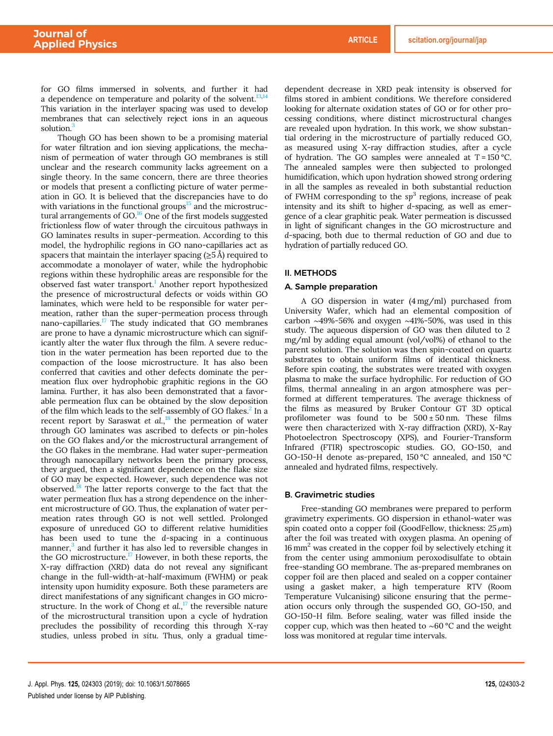for GO films immersed in solvents, and further it had a dependence on temperature and polarity of the solvent. $^{13}$ This variation in the interlayer spacing was used to develop membranes that can selectively reject ions in an aqueous solution.<sup>3</sup>

Though GO has been shown to be a promising material for water filtration and ion sieving applications, the mechanism of permeation of water through GO membranes is still unclear and the research community lacks agreement on a single theory. In the same concern, there are three theories or models that present a conflicting picture of water permeation in GO. It is believed that the discrepancies have to do with variations in the functional groups $15$  and the microstructural arrangements of GO.<sup>16</sup> One of the first models suggested frictionless flow of water through the circuitous pathways in GO laminates results in super-permeation. According to this model, the hydrophilic regions in GO nano-capillaries act as spacers that maintain the interlayer spacing ( $\geq$ 5Å) required to accommodate a monolayer of water, while the hydrophobic regions within these hydrophilic areas are responsible for the observed fast water transport.<sup>1</sup> Another report hypothesized the presence of microstructural defects or voids within GO laminates, which were held to be responsible for water permeation, rather than the super-permeation process through nano-capillaries.<sup>17</sup> The study indicated that GO membranes are prone to have a dynamic microstructure which can significantly alter the water flux through the film. A severe reduction in the water permeation has been reported due to the compaction of the loose microstructure. It has also been conferred that cavities and other defects dominate the permeation flux over hydrophobic graphitic regions in the GO lamina. Further, it has also been demonstrated that a favorable permeation flux can be obtained by the slow deposition of the film which leads to the self-assembly of GO flakes.<sup>2</sup> In a recent report by Saraswat et al.,<sup>18</sup> the permeation of water through GO laminates was ascribed to defects or pin-holes on the GO flakes and/or the microstructural arrangement of the GO flakes in the membrane. Had water super-permeation through nanocapillary networks been the primary process, they argued, then a significant dependence on the flake size of GO may be expected. However, such dependence was not observed.<sup>18</sup> The latter reports converge to the fact that the water permeation flux has a strong dependence on the inherent microstructure of GO. Thus, the explanation of water permeation rates through GO is not well settled. Prolonged exposure of unreduced GO to different relative humidities has been used to tune the d-spacing in a continuous manner, $3$  and further it has also led to reversible changes in the GO microstructure.<sup>17</sup> However, in both these reports, the X-ray diffraction (XRD) data do not reveal any significant change in the full-width-at-half-maximum (FWHM) or peak intensity upon humidity exposure. Both these parameters are direct manifestations of any significant changes in GO microstructure. In the work of Chong et  $al$ ,  $\frac{17}{17}$  the reversible nature of the microstructural transition upon a cycle of hydration precludes the possibility of recording this through X-ray studies, unless probed in situ. Thus, only a gradual timedependent decrease in XRD peak intensity is observed for films stored in ambient conditions. We therefore considered looking for alternate oxidation states of GO or for other processing conditions, where distinct microstructural changes are revealed upon hydration. In this work, we show substantial ordering in the microstructure of partially reduced GO, as measured using X-ray diffraction studies, after a cycle of hydration. The GO samples were annealed at  $T = 150$  °C. The annealed samples were then subjected to prolonged humidification, which upon hydration showed strong ordering in all the samples as revealed in both substantial reduction of FWHM corresponding to the  $sp^3$  regions, increase of peak intensity and its shift to higher d-spacing, as well as emergence of a clear graphitic peak. Water permeation is discussed in light of significant changes in the GO microstructure and d-spacing, both due to thermal reduction of GO and due to hydration of partially reduced GO.

#### II. METHODS

#### A. Sample preparation

A GO dispersion in water (4 mg/ml) purchased from University Wafer, which had an elemental composition of carbon ∼49%-56% and oxygen ∼41%-50%, was used in this study. The aqueous dispersion of GO was then diluted to 2 mg/ml by adding equal amount (vol/vol%) of ethanol to the parent solution. The solution was then spin-coated on quartz substrates to obtain uniform films of identical thickness. Before spin coating, the substrates were treated with oxygen plasma to make the surface hydrophilic. For reduction of GO films, thermal annealing in an argon atmosphere was performed at different temperatures. The average thickness of the films as measured by Bruker Contour GT 3D optical profilometer was found to be  $500 \pm 50$  nm. These films were then characterized with X-ray diffraction (XRD), X-Ray Photoelectron Spectroscopy (XPS), and Fourier-Transform Infrared (FTIR) spectroscopic studies. GO, GO-150, and GO-150-H denote as-prepared, 150 °C annealed, and 150 °C annealed and hydrated films, respectively.

#### B. Gravimetric studies

Free-standing GO membranes were prepared to perform gravimetry experiments. GO dispersion in ethanol-water was spin coated onto a copper foil (GoodFellow, thickness:  $25 \mu m$ ) after the foil was treated with oxygen plasma. An opening of 16 mm<sup>2</sup> was created in the copper foil by selectively etching it from the center using ammonium peroxodisulfate to obtain free-standing GO membrane. The as-prepared membranes on copper foil are then placed and sealed on a copper container using a gasket maker, a high temperature RTV (Room Temperature Vulcanising) silicone ensuring that the permeation occurs only through the suspended GO, GO-150, and GO-150-H film. Before sealing, water was filled inside the copper cup, which was then heated to ∼60 °C and the weight loss was monitored at regular time intervals.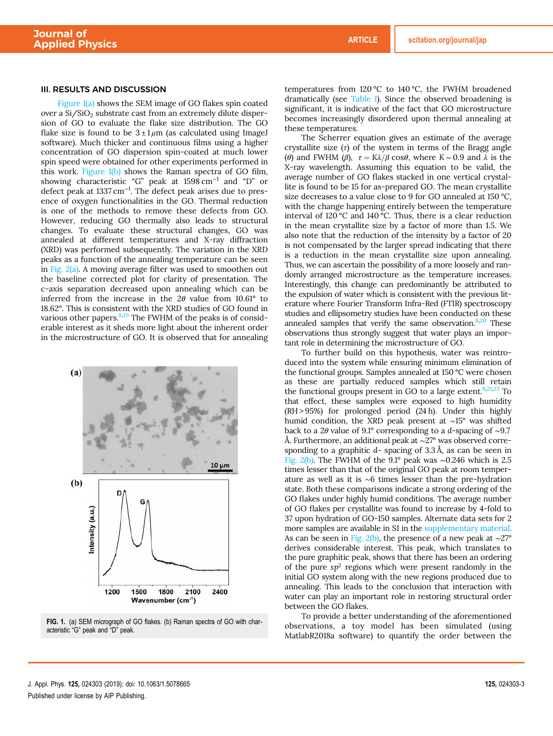### III. RESULTS AND DISCUSSION

Figure 1(a) shows the SEM image of GO flakes spin coated over a Si/SiO<sub>2</sub> substrate cast from an extremely dilute dispersion of GO to evaluate the flake size distribution. The GO flake size is found to be  $3 \pm 1 \mu m$  (as calculated using ImageJ software). Much thicker and continuous films using a higher concentration of GO dispersion spin-coated at much lower spin speed were obtained for other experiments performed in this work. Figure 1(b) shows the Raman spectra of GO film, showing characteristic "G" peak at 1598 cm−<sup>1</sup> and "D" or defect peak at 1337 cm−<sup>1</sup> . The defect peak arises due to presence of oxygen functionalities in the GO. Thermal reduction is one of the methods to remove these defects from GO. However, reducing GO thermally also leads to structural changes. To evaluate these structural changes, GO was annealed at different temperatures and X-ray diffraction (XRD) was performed subsequently. The variation in the XRD peaks as a function of the annealing temperature can be seen in Fig. 2(a). A moving average filter was used to smoothen out the baseline corrected plot for clarity of presentation. The c-axis separation decreased upon annealing which can be inferred from the increase in the  $2\theta$  value from  $10.61^\circ$  to 18.62°. This is consistent with the XRD studies of GO found in various other papers.<sup>8,19</sup> The FWHM of the peaks is of considerable interest as it sheds more light about the inherent order in the microstructure of GO. It is observed that for annealing



FIG. 1. (a) SEM micrograph of GO flakes. (b) Raman spectra of GO with characteristic "G" peak and "D" peak.

temperatures from 120 °C to 140 °C, the FWHM broadened dramatically (see Table I). Since the observed broadening is significant, it is indicative of the fact that GO microstructure becomes increasingly disordered upon thermal annealing at these temperatures.

The Scherrer equation gives an estimate of the average crystallite size  $(\tau)$  of the system in terms of the Bragg angle (θ) and FWHM (β),  $\tau = K\lambda/\beta \cos\theta$ , where K ~ 0.9 and  $\lambda$  is the X-ray wavelength. Assuming this equation to be valid, the average number of GO flakes stacked in one vertical crystallite is found to be 15 for as-prepared GO. The mean crystallite size decreases to a value close to 9 for GO annealed at 150 °C, with the change happening entirely between the temperature interval of 120 °C and 140 °C. Thus, there is a clear reduction in the mean crystallite size by a factor of more than 1.5. We also note that the reduction of the intensity by a factor of 20 is not compensated by the larger spread indicating that there is a reduction in the mean crystallite size upon annealing. Thus, we can ascertain the possibility of a more loosely and randomly arranged microstructure as the temperature increases. Interestingly, this change can predominantly be attributed to the expulsion of water which is consistent with the previous literature where Fourier Transform Infra-Red (FTIR) spectroscopy studies and ellipsometry studies have been conducted on these annealed samples that verify the same observation. $8,20$  These observations thus strongly suggest that water plays an important role in determining the microstructure of GO.

To further build on this hypothesis, water was reintroduced into the system while ensuring minimum elimination of the functional groups. Samples annealed at 150 °C were chosen as these are partially reduced samples which still retain the functional groups present in GO to a large extent. $8,21,22$  To that effect, these samples were exposed to high humidity (RH > 95%) for prolonged period (24 h). Under this highly humid condition, the XRD peak present at ∼15° was shifted back to a 2θ value of 9.1° corresponding to a d-spacing of ∼9.7 Å. Furthermore, an additional peak at ∼27° was observed corresponding to a graphitic d- spacing of 3.3 Å, as can be seen in Fig. 2(b). The FWHM of the 9.1° peak was ∼0.246 which is 2.5 times lesser than that of the original GO peak at room temperature as well as it is ∼6 times lesser than the pre-hydration state. Both these comparisons indicate a strong ordering of the GO flakes under highly humid conditions. The average number of GO flakes per crystallite was found to increase by 4-fold to 37 upon hydration of GO-150 samples. Alternate data sets for 2 more samples are available in S1 in the supplementary material. As can be seen in Fig. 2(b), the presence of a new peak at ∼27° derives considerable interest. This peak, which translates to the pure graphitic peak, shows that there has been an ordering of the pure  $sp^2$  regions which were present randomly in the initial GO system along with the new regions produced due to annealing. This leads to the conclusion that interaction with water can play an important role in restoring structural order between the GO flakes.

To provide a better understanding of the aforementioned observations, a toy model has been simulated (using MatlabR2018a software) to quantify the order between the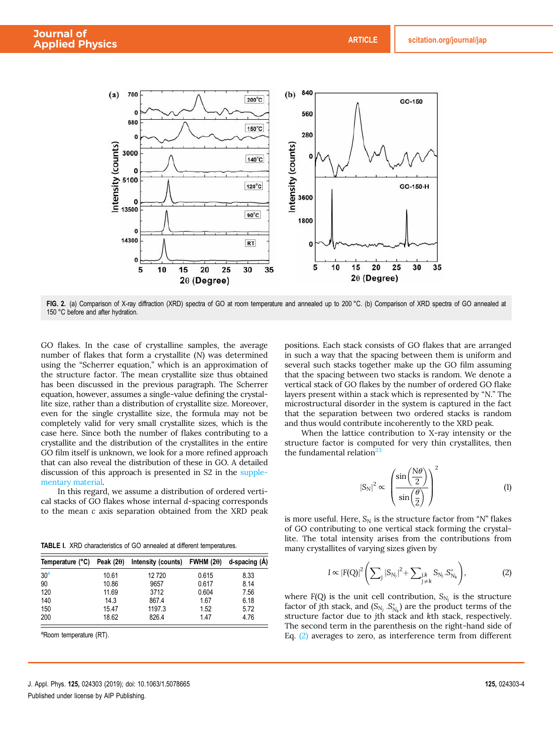

FIG. 2. (a) Comparison of X-ray diffraction (XRD) spectra of GO at room temperature and annealed up to 200 °C. (b) Comparison of XRD spectra of GO annealed at 150 °C before and after hydration.

GO flakes. In the case of crystalline samples, the average number of flakes that form a crystallite (N) was determined using the "Scherrer equation," which is an approximation of the structure factor. The mean crystallite size thus obtained has been discussed in the previous paragraph. The Scherrer equation, however, assumes a single-value defining the crystallite size, rather than a distribution of crystallite size. Moreover, even for the single crystallite size, the formula may not be completely valid for very small crystallite sizes, which is the case here. Since both the number of flakes contributing to a crystallite and the distribution of the crystallites in the entire GO film itself is unknown, we look for a more refined approach that can also reveal the distribution of these in GO. A detailed discussion of this approach is presented in S2 in the supplementary material.

In this regard, we assume a distribution of ordered vertical stacks of GO flakes whose internal d-spacing corresponds to the mean c axis separation obtained from the XRD peak

TABLE I. XRD characteristics of GO annealed at different temperatures.

| Temperature (°C) | Peak $(2\theta)$ | Intensity (counts) | FWHM $(2\theta)$ | d-spacing (A) |
|------------------|------------------|--------------------|------------------|---------------|
| 30 <sup>a</sup>  | 10.61            | 12720              | 0.615            | 8.33          |
| 90               | 10.86            | 9657               | 0.617            | 8.14          |
| 120              | 11.69            | 3712               | 0.604            | 7.56          |
| 140              | 14.3             | 867.4              | 1.67             | 6.18          |
| 150              | 15.47            | 1197.3             | 1.52             | 5.72          |
| 200              | 18.62            | 826.4              | 1.47             | 4.76          |

<sup>a</sup>Room temperature (RT).

positions. Each stack consists of GO flakes that are arranged in such a way that the spacing between them is uniform and several such stacks together make up the GO film assuming that the spacing between two stacks is random. We denote a vertical stack of GO flakes by the number of ordered GO flake layers present within a stack which is represented by "N." The microstructural disorder in the system is captured in the fact that the separation between two ordered stacks is random and thus would contribute incoherently to the XRD peak.

When the lattice contribution to X-ray intensity or the structure factor is computed for very thin crystallites, then the fundamental relation<sup>23</sup>

$$
|S_N|^2 \propto \left(\frac{\sin\left(\frac{N\theta}{2}\right)}{\sin\left(\frac{\theta}{2}\right)}\right)^2\tag{1}
$$

is more useful. Here,  $S_N$  is the structure factor from "N" flakes of GO contributing to one vertical stack forming the crystallite. The total intensity arises from the contributions from many crystallites of varying sizes given by

$$
I \propto |F(Q)|^2 \left( \sum_j |S_{N_j}|^2 + \sum_{\substack{j,k \\ j \neq k}} S_{N_j} . S_{N_k}^* \right),
$$
 (2)

where  $F(Q)$  is the unit cell contribution,  $S_{N_j}$  is the structure factor of jth stack, and  $(S_{N_j} \t S_{N_k}^*)$  are the product terms of the structure factor due to jth stack and kth stack, respectively. The second term in the parenthesis on the right-hand side of Eq. (2) averages to zero, as interference term from different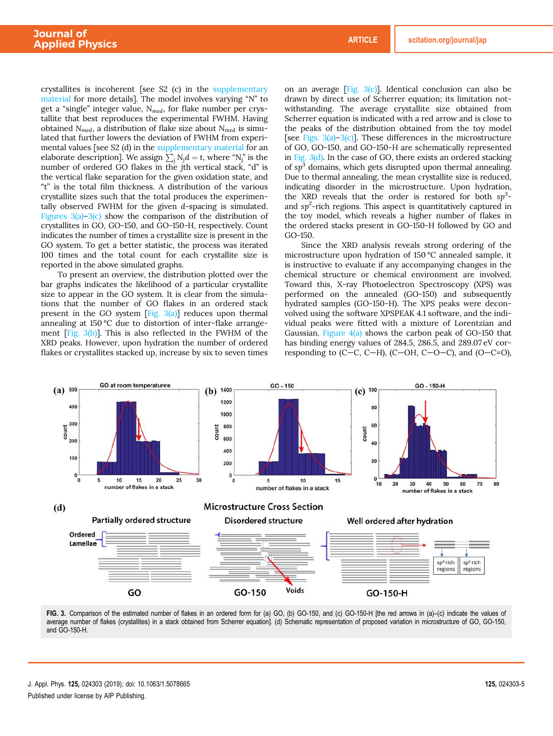crystallites is incoherent [see S2 (c) in the supplementary material for more details]. The model involves varying "N" to get a "single" integer value,  $N_{med}$ , for flake number per crystallite that best reproduces the experimental FWHM. Having obtained  $N_{med}$ , a distribution of flake size about  $N_{med}$  is simulated that further lowers the deviation of FWHM from experimental values [see S2 (d) in the supplementary material for an elaborate description]. We assign  $\sum_j N_j d = t$ , where "N<sub>j</sub>" is the number of ordered GO flakes in the jth vertical stack, "d" is the vertical flake separation for the given oxidation state, and "t" is the total film thickness. A distribution of the various crystallite sizes such that the total produces the experimentally observed FWHM for the given d-spacing is simulated. Figures 3(a)–3(c) show the comparison of the distribution of crystallites in GO, GO-150, and GO-150-H, respectively. Count indicates the number of times a crystallite size is present in the GO system. To get a better statistic, the process was iterated 100 times and the total count for each crystallite size is reported in the above simulated graphs.

To present an overview, the distribution plotted over the bar graphs indicates the likelihood of a particular crystallite size to appear in the GO system. It is clear from the simulations that the number of GO flakes in an ordered stack present in the GO system  $[Fig. 3(a)]$  reduces upon thermal annealing at 150 °C due to distortion of inter-flake arrangement [Fig. 3(b)]. This is also reflected in the FWHM of the XRD peaks. However, upon hydration the number of ordered flakes or crystallites stacked up, increase by six to seven times

on an average [Fig.  $3(c)$ ]. Identical conclusion can also be drawn by direct use of Scherrer equation; its limitation notwithstanding. The average crystallite size obtained from Scherrer equation is indicated with a red arrow and is close to the peaks of the distribution obtained from the toy model [see Figs.  $3(a)-3(c)$ ]. These differences in the microstructure of GO, GO-150, and GO-150-H are schematically represented in Fig. 3(d). In the case of GO, there exists an ordered stacking of  $sp<sup>3</sup>$  domains, which gets disrupted upon thermal annealing. Due to thermal annealing, the mean crystallite size is reduced, indicating disorder in the microstructure. Upon hydration, the XRD reveals that the order is restored for both  $sp^3$ and  $sp<sup>2</sup>$ -rich regions. This aspect is quantitatively captured in the toy model, which reveals a higher number of flakes in the ordered stacks present in GO-150-H followed by GO and GO-150.

Since the XRD analysis reveals strong ordering of the microstructure upon hydration of 150 °C annealed sample, it is instructive to evaluate if any accompanying changes in the chemical structure or chemical environment are involved. Toward this, X-ray Photoelectron Spectroscopy (XPS) was performed on the annealed (GO-150) and subsequently hydrated samples (GO-150-H). The XPS peaks were deconvolved using the software XPSPEAK 4.1 software, and the individual peaks were fitted with a mixture of Lorentzian and Gaussian. Figure  $4(a)$  shows the carbon peak of GO-150 that has binding energy values of 284.5, 286.5, and 289.07 eV corresponding to  $(C-C, C-H)$ ,  $(C-OH, C-O-C)$ , and  $(O-C=O)$ ,



FIG. 3. Comparison of the estimated number of flakes in an ordered form for (a) GO, (b) GO-150, and (c) GO-150-H [the red arrows in (a)–(c) indicate the values of average number of flakes (crystallites) in a stack obtained from Scherrer equation]. (d) Schematic representation of proposed variation in microstructure of GO, GO-150, and GO-150-H.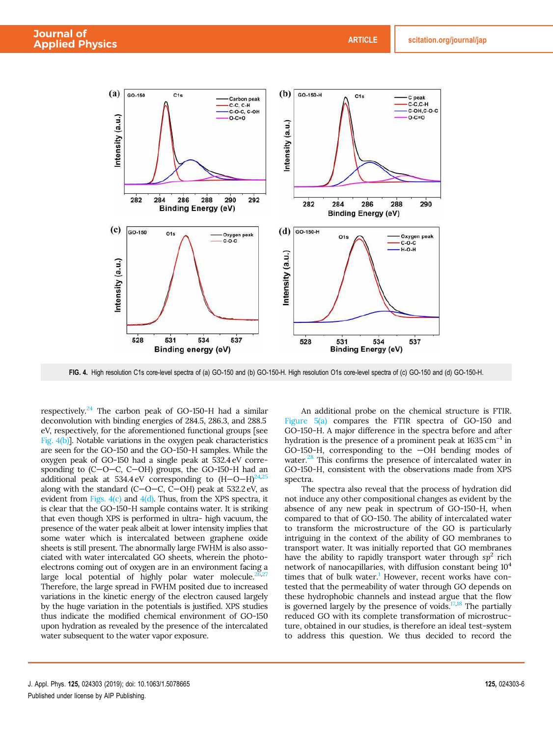

FIG. 4. High resolution C1s core-level spectra of (a) GO-150 and (b) GO-150-H. High resolution O1s core-level spectra of (c) GO-150 and (d) GO-150-H.

respectively.<sup>24</sup> The carbon peak of GO-150-H had a similar deconvolution with binding energies of 284.5, 286.3, and 288.5 eV, respectively, for the aforementioned functional groups [see Fig. 4(b)]. Notable variations in the oxygen peak characteristics are seen for the GO-150 and the GO-150-H samples. While the oxygen peak of GO-150 had a single peak at 532.4 eV corresponding to (C—O—C, C—OH) groups, the GO-150-H had an additional peak at 534.4 eV corresponding to  $(H-O-H)^{24,25}$ along with the standard (C—O—C, C—OH) peak at 532.2 eV, as evident from Figs.  $4(c)$  and  $4(d)$ . Thus, from the XPS spectra, it is clear that the GO-150-H sample contains water. It is striking that even though XPS is performed in ultra- high vacuum, the presence of the water peak albeit at lower intensity implies that some water which is intercalated between graphene oxide sheets is still present. The abnormally large FWHM is also associated with water intercalated GO sheets, wherein the photoelectrons coming out of oxygen are in an environment facing a large local potential of highly polar water molecule.<sup>2</sup> Therefore, the large spread in FWHM posited due to increased variations in the kinetic energy of the electron caused largely by the huge variation in the potentials is justified. XPS studies thus indicate the modified chemical environment of GO-150 upon hydration as revealed by the presence of the intercalated water subsequent to the water vapor exposure.

An additional probe on the chemical structure is FTIR. Figure 5(a) compares the FTIR spectra of GO-150 and GO-150-H. A major difference in the spectra before and after hydration is the presence of a prominent peak at 1635 cm<sup>-1</sup> in GO-150-H, corresponding to the —OH bending modes of water.<sup>28</sup> This confirms the presence of intercalated water in GO-150-H, consistent with the observations made from XPS spectra.

The spectra also reveal that the process of hydration did not induce any other compositional changes as evident by the absence of any new peak in spectrum of GO-150-H, when compared to that of GO-150. The ability of intercalated water to transform the microstructure of the GO is particularly intriguing in the context of the ability of GO membranes to transport water. It was initially reported that GO membranes have the ability to rapidly transport water through  $sp^2$  rich network of nanocapillaries, with diffusion constant being  $10<sup>4</sup>$ times that of bulk water.<sup>1</sup> However, recent works have contested that the permeability of water through GO depends on these hydrophobic channels and instead argue that the flow is governed largely by the presence of voids. $17,18$  The partially reduced GO with its complete transformation of microstructure, obtained in our studies, is therefore an ideal test-system to address this question. We thus decided to record the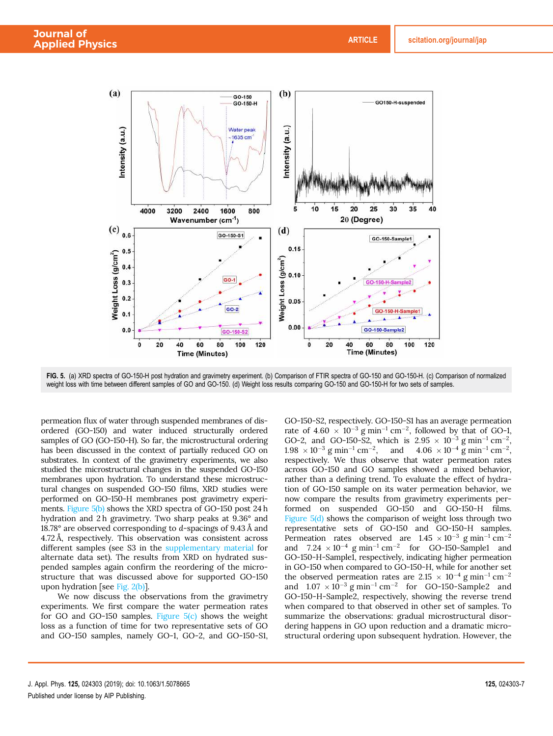

FIG. 5. (a) XRD spectra of GO-150-H post hydration and gravimetry experiment. (b) Comparison of FTIR spectra of GO-150 and GO-150-H. (c) Comparison of normalized weight loss with time between different samples of GO and GO-150. (d) Weight loss results comparing GO-150 and GO-150-H for two sets of samples.

permeation flux of water through suspended membranes of disordered (GO-150) and water induced structurally ordered samples of GO (GO-150-H). So far, the microstructural ordering has been discussed in the context of partially reduced GO on substrates. In context of the gravimetry experiments, we also studied the microstructural changes in the suspended GO-150 membranes upon hydration. To understand these microstructural changes on suspended GO-150 films, XRD studies were performed on GO-150-H membranes post gravimetry experiments. Figure 5(b) shows the XRD spectra of GO-150 post 24 h hydration and 2 h gravimetry. Two sharp peaks at 9.36° and 18.78° are observed corresponding to d-spacings of 9.43 Å and 4.72 Å, respectively. This observation was consistent across different samples (see S3 in the supplementary material for alternate data set). The results from XRD on hydrated suspended samples again confirm the reordering of the microstructure that was discussed above for supported GO-150 upon hydration [see Fig. 2(b)].

We now discuss the observations from the gravimetry experiments. We first compare the water permeation rates for GO and GO-150 samples. Figure  $5(c)$  shows the weight loss as a function of time for two representative sets of GO and GO-150 samples, namely GO-1, GO-2, and GO-150-S1, GO-150-S2, respectively. GO-150-S1 has an average permeation rate of  $4.60 \times 10^{-3}$  g min<sup>-1</sup> cm<sup>-2</sup>, followed by that of GO-1, GO-2, and GO-150-S2, which is  $2.95 \times 10^{-3}$  g min<sup>-1</sup> cm<sup>-2</sup>,  $1.98 \times 10^{-3}$  g min<sup>-1</sup> cm<sup>-2</sup>, and  $4.06 \times 10^{-4}$  g min<sup>-1</sup> cm<sup>-2</sup>, respectively. We thus observe that water permeation rates across GO-150 and GO samples showed a mixed behavior, rather than a defining trend. To evaluate the effect of hydration of GO-150 sample on its water permeation behavior, we now compare the results from gravimetry experiments performed on suspended GO-150 and GO-150-H films. Figure 5(d) shows the comparison of weight loss through two representative sets of GO-150 and GO-150-H samples. Permeation rates observed are  $1.45 \times 10^{-3}$  g min<sup>-1</sup> cm<sup>-2</sup> and  $7.24 \times 10^{-4}$  g min<sup>-1</sup> cm<sup>-2</sup> for GO-150-Sample1 and GO-150-H-Sample1, respectively, indicating higher permeation in GO-150 when compared to GO-150-H, while for another set the observed permeation rates are  $2.15 \times 10^{-4}$  g min<sup>-1</sup> cm<sup>-2</sup> and  $1.07 \times 10^{-3}$  g min<sup>-1</sup> cm<sup>-2</sup> for GO-150-Sample2 and GO-150-H-Sample2, respectively, showing the reverse trend when compared to that observed in other set of samples. To summarize the observations: gradual microstructural disordering happens in GO upon reduction and a dramatic microstructural ordering upon subsequent hydration. However, the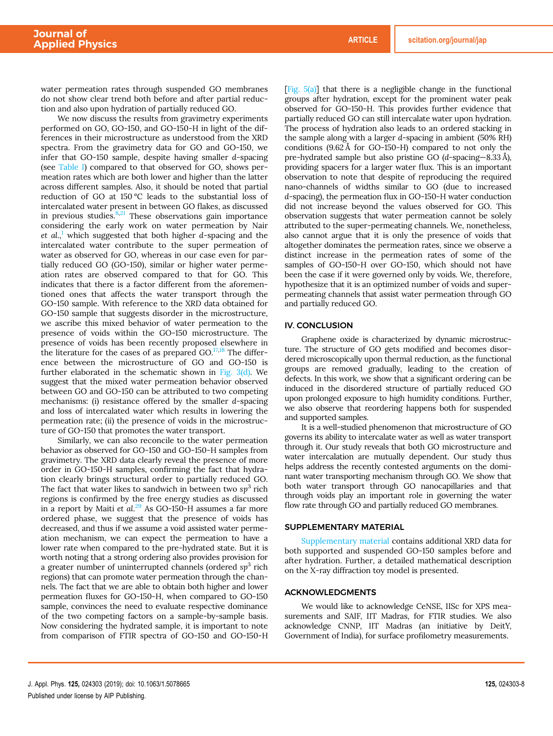water permeation rates through suspended GO membranes do not show clear trend both before and after partial reduction and also upon hydration of partially reduced GO.

We now discuss the results from gravimetry experiments performed on GO, GO-150, and GO-150-H in light of the differences in their microstructure as understood from the XRD spectra. From the gravimetry data for GO and GO-150, we infer that GO-150 sample, despite having smaller d-spacing (see Table I) compared to that observed for GO, shows permeation rates which are both lower and higher than the latter across different samples. Also, it should be noted that partial reduction of GO at 150 °C leads to the substantial loss of intercalated water present in between GO flakes, as discussed in previous studies. $8,21$  These observations gain importance considering the early work on water permeation by Nair et al.,<sup>1</sup> which suggested that both higher d-spacing and the intercalated water contribute to the super permeation of water as observed for GO, whereas in our case even for partially reduced GO (GO-150), similar or higher water permeation rates are observed compared to that for GO. This indicates that there is a factor different from the aforementioned ones that affects the water transport through the GO-150 sample. With reference to the XRD data obtained for GO-150 sample that suggests disorder in the microstructure, we ascribe this mixed behavior of water permeation to the presence of voids within the GO-150 microstructure. The presence of voids has been recently proposed elsewhere in the literature for the cases of as prepared GO. $17,18$  The difference between the microstructure of GO and GO-150 is further elaborated in the schematic shown in Fig. 3(d). We suggest that the mixed water permeation behavior observed between GO and GO-150 can be attributed to two competing mechanisms: (i) resistance offered by the smaller d-spacing and loss of intercalated water which results in lowering the permeation rate; (ii) the presence of voids in the microstructure of GO-150 that promotes the water transport.

Similarly, we can also reconcile to the water permeation behavior as observed for GO-150 and GO-150-H samples from gravimetry. The XRD data clearly reveal the presence of more order in GO-150-H samples, confirming the fact that hydration clearly brings structural order to partially reduced GO. The fact that water likes to sandwich in between two  $\mathrm{sp}^3$  rich regions is confirmed by the free energy studies as discussed in a report by Maiti et al.<sup>29</sup> As GO-150-H assumes a far more ordered phase, we suggest that the presence of voids has decreased, and thus if we assume a void assisted water permeation mechanism, we can expect the permeation to have a lower rate when compared to the pre-hydrated state. But it is worth noting that a strong ordering also provides provision for a greater number of uninterrupted channels (ordered sp<sup>3</sup> rich regions) that can promote water permeation through the channels. The fact that we are able to obtain both higher and lower permeation fluxes for GO-150-H, when compared to GO-150 sample, convinces the need to evaluate respective dominance of the two competing factors on a sample-by-sample basis. Now considering the hydrated sample, it is important to note from comparison of FTIR spectra of GO-150 and GO-150-H

[Fig.  $5(a)$ ] that there is a negligible change in the functional groups after hydration, except for the prominent water peak observed for GO-150-H. This provides further evidence that partially reduced GO can still intercalate water upon hydration. The process of hydration also leads to an ordered stacking in the sample along with a larger d-spacing in ambient (50% RH) conditions (9.62 Å for GO-150-H) compared to not only the pre-hydrated sample but also pristine GO (d-spacing—8.33 Å), providing spacers for a larger water flux. This is an important observation to note that despite of reproducing the required nano-channels of widths similar to GO (due to increased d-spacing), the permeation flux in GO-150-H water conduction did not increase beyond the values observed for GO. This observation suggests that water permeation cannot be solely attributed to the super-permeating channels. We, nonetheless, also cannot argue that it is only the presence of voids that altogether dominates the permeation rates, since we observe a distinct increase in the permeation rates of some of the samples of GO-150-H over GO-150, which should not have been the case if it were governed only by voids. We, therefore, hypothesize that it is an optimized number of voids and superpermeating channels that assist water permeation through GO and partially reduced GO.

#### IV. CONCLUSION

Graphene oxide is characterized by dynamic microstructure. The structure of GO gets modified and becomes disordered microscopically upon thermal reduction, as the functional groups are removed gradually, leading to the creation of defects. In this work, we show that a significant ordering can be induced in the disordered structure of partially reduced GO upon prolonged exposure to high humidity conditions. Further, we also observe that reordering happens both for suspended and supported samples.

It is a well-studied phenomenon that microstructure of GO governs its ability to intercalate water as well as water transport through it. Our study reveals that both GO microstructure and water intercalation are mutually dependent. Our study thus helps address the recently contested arguments on the dominant water transporting mechanism through GO. We show that both water transport through GO nanocapillaries and that through voids play an important role in governing the water flow rate through GO and partially reduced GO membranes.

#### SUPPLEMENTARY MATERIAL

Supplementary material contains additional XRD data for both supported and suspended GO-150 samples before and after hydration. Further, a detailed mathematical description on the X-ray diffraction toy model is presented.

#### ACKNOWLEDGMENTS

We would like to acknowledge CeNSE, IISc for XPS measurements and SAIF, IIT Madras, for FTIR studies. We also acknowledge CNNP, IIT Madras (an initiative by DeitY, Government of India), for surface profilometry measurements.